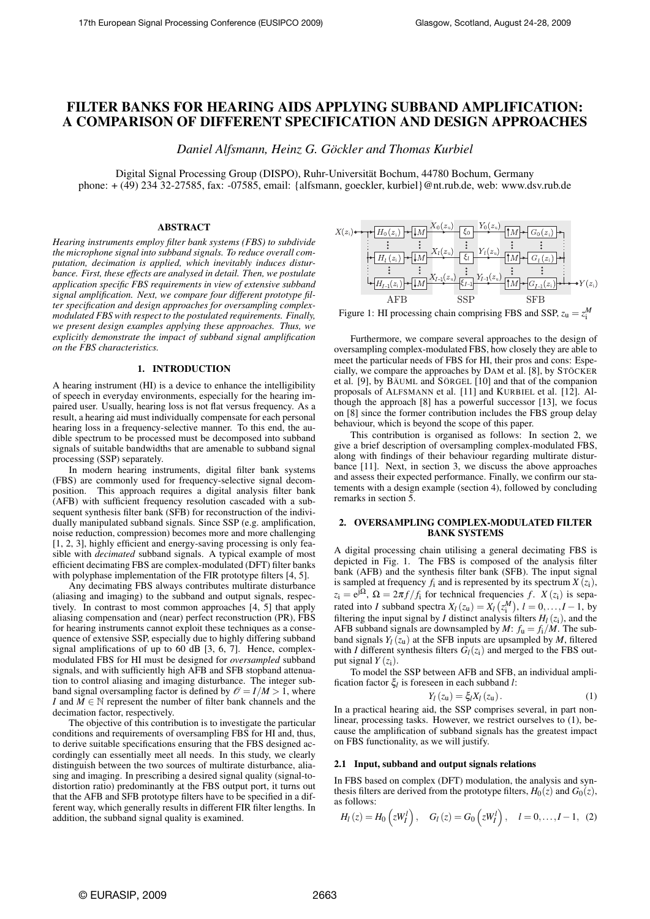# FILTER BANKS FOR HEARING AIDS APPLYING SUBBAND AMPLIFICATION: A COMPARISON OF DIFFERENT SPECIFICATION AND DESIGN APPROACHES

*Daniel Alfsmann, Heinz G. Göckler and Thomas Kurbiel*

Digital Signal Processing Group (DISPO), Ruhr-Universität Bochum, 44780 Bochum, Germany phone: + (49) 234 32-27585, fax: -07585, email: {alfsmann, goeckler, kurbiel}@nt.rub.de, web: www.dsv.rub.de

### ABSTRACT

*Hearing instruments employ filter bank systems (FBS) to subdivide the microphone signal into subband signals. To reduce overall computation, decimation is applied, which inevitably induces disturbance. First, these effects are analysed in detail. Then, we postulate application specific FBS requirements in view of extensive subband signal amplification. Next, we compare four different prototype filter specification and design approaches for oversampling complexmodulated FBS with respect to the postulated requirements. Finally, we present design examples applying these approaches. Thus, we explicitly demonstrate the impact of subband signal amplification on the FBS characteristics.*

#### 1. INTRODUCTION

A hearing instrument (HI) is a device to enhance the intelligibility of speech in everyday environments, especially for the hearing impaired user. Usually, hearing loss is not flat versus frequency. As a result, a hearing aid must individually compensate for each personal hearing loss in a frequency-selective manner. To this end, the audible spectrum to be processed must be decomposed into subband signals of suitable bandwidths that are amenable to subband signal processing (SSP) separately.

In modern hearing instruments, digital filter bank systems (FBS) are commonly used for frequency-selective signal decomposition. This approach requires a digital analysis filter bank (AFB) with sufficient frequency resolution cascaded with a subsequent synthesis filter bank (SFB) for reconstruction of the individually manipulated subband signals. Since SSP (e.g. amplification, noise reduction, compression) becomes more and more challenging [1, 2, 3], highly efficient and energy-saving processing is only feasible with *decimated* subband signals. A typical example of most efficient decimating FBS are complex-modulated (DFT) filter banks with polyphase implementation of the FIR prototype filters [4, 5].

Any decimating FBS always contributes multirate disturbance (aliasing and imaging) to the subband and output signals, respectively. In contrast to most common approaches [4, 5] that apply aliasing compensation and (near) perfect reconstruction (PR), FBS for hearing instruments cannot exploit these techniques as a consequence of extensive SSP, especially due to highly differing subband signal amplifications of up to 60 dB [3, 6, 7]. Hence, complexmodulated FBS for HI must be designed for *oversampled* subband signals, and with sufficiently high AFB and SFB stopband attenuation to control aliasing and imaging disturbance. The integer subband signal oversampling factor is defined by  $\mathcal{O} = I/M > 1$ , where *I* and  $M \in \mathbb{N}$  represent the number of filter bank channels and the decimation factor, respectively.

The objective of this contribution is to investigate the particular conditions and requirements of oversampling FBS for HI and, thus, to derive suitable specifications ensuring that the FBS designed accordingly can essentially meet all needs. In this study, we clearly distinguish between the two sources of multirate disturbance, aliasing and imaging. In prescribing a desired signal quality (signal-todistortion ratio) predominantly at the FBS output port, it turns out that the AFB and SFB prototype filters have to be specified in a different way, which generally results in different FIR filter lengths. In addition, the subband signal quality is examined.



Figure 1: HI processing chain comprising FBS and SSP,  $z_u = z_i^M$ 

Furthermore, we compare several approaches to the design of oversampling complex-modulated FBS, how closely they are able to meet the particular needs of FBS for HI, their pros and cons: Especially, we compare the approaches by DAM et al. [8], by STÖCKER et al. [9], by BÄUML and SÖRGEL [10] and that of the companion proposals of ALFSMANN et al. [11] and KURBIEL et al. [12]. Although the approach [8] has a powerful successor [13], we focus on [8] since the former contribution includes the FBS group delay behaviour, which is beyond the scope of this paper.

This contribution is organised as follows: In section 2, we give a brief description of oversampling complex-modulated FBS, along with findings of their behaviour regarding multirate disturbance [11]. Next, in section 3, we discuss the above approaches and assess their expected performance. Finally, we confirm our statements with a design example (section 4), followed by concluding remarks in section 5.

#### 2. OVERSAMPLING COMPLEX-MODULATED FILTER BANK SYSTEMS

A digital processing chain utilising a general decimating FBS is depicted in Fig. 1. The FBS is composed of the analysis filter bank (AFB) and the synthesis filter bank (SFB). The input signal is sampled at frequency  $f_i$  and is represented by its spectrum  $X(z_i)$ ,  $z_i = e^{j\Omega}, \Omega = 2\pi f/f_i$  for technical frequencies *f*.  $X(z_i)$  is separated into *I* subband spectra  $X_l(z_u) = X_l(z_i^M)$ ,  $l = 0, ..., I-1$ , by filtering the input signal by *I* distinct analysis filters  $H_l(z_i)$ , and the AFB subband signals are downsampled by *M*:  $f_u = f_i/M$ . The subband signals  $Y_l(z_u)$  at the SFB inputs are upsampled by *M*, filtered with *I* different synthesis filters  $\overline{G}_l(z_i)$  and merged to the FBS output signal  $Y(z_i)$ .

To model the SSP between AFB and SFB, an individual amplification factor ξ*<sup>l</sup>* is foreseen in each subband *l*:

$$
Y_l(z_u) = \xi_l X_l(z_u). \tag{1}
$$

In a practical hearing aid, the SSP comprises several, in part nonlinear, processing tasks. However, we restrict ourselves to (1), because the amplification of subband signals has the greatest impact on FBS functionality, as we will justify.

#### 2.1 Input, subband and output signals relations

In FBS based on complex (DFT) modulation, the analysis and synthesis filters are derived from the prototype filters,  $H_0(z)$  and  $G_0(z)$ , as follows:

$$
H_l(z) = H_0(zW'_l), G_l(z) = G_0(zW'_l), l = 0,..., l-1, (2)
$$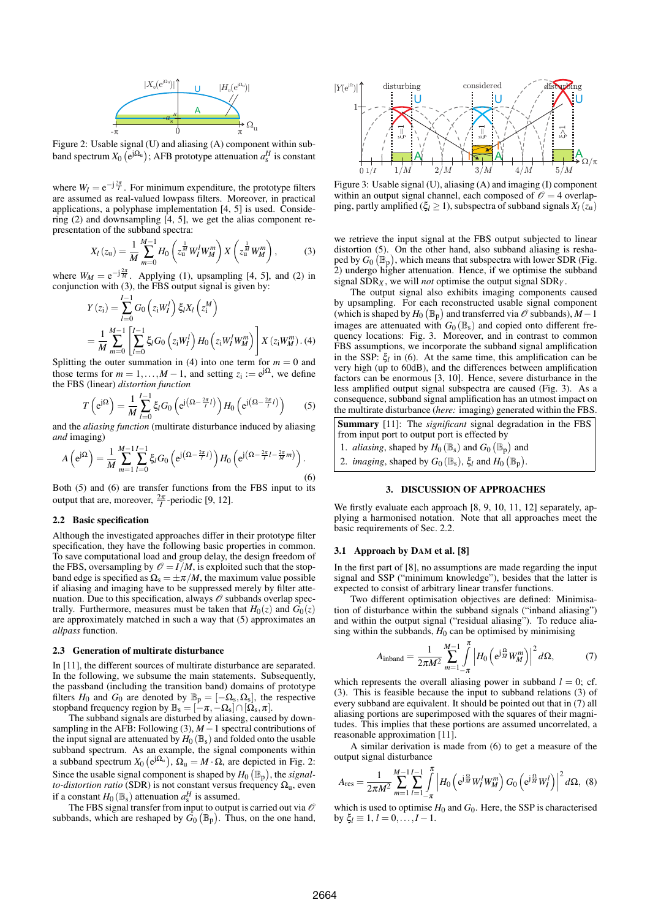

Figure 2: Usable signal (U) and aliasing (A) component within subband spectrum  $X_0$   $(e^{j\Omega_u})$ ; AFB prototype attenuation  $a_s^H$  is constant

where  $W_I = e^{-j\frac{2\pi}{I}}$ . For minimum expenditure, the prototype filters are assumed as real-valued lowpass filters. Moreover, in practical applications, a polyphase implementation [4, 5] is used. Considering (2) and downsampling [4, 5], we get the alias component representation of the subband spectra:

$$
X_{l}(z_{\mathbf{u}}) = \frac{1}{M} \sum_{m=0}^{M-1} H_{0}\left(z_{\mathbf{u}}^{\frac{1}{M}} W_{l}^{l} W_{M}^{m}\right) X\left(z_{\mathbf{u}}^{\frac{1}{M}} W_{M}^{m}\right), \tag{3}
$$

where  $W_M = e^{-j\frac{2\pi}{M}}$ . Applying (1), upsampling [4, 5], and (2) in conjunction with (3), the FBS output signal is given by:

$$
Y(z_i) = \sum_{l=0}^{I-1} G_0(z_i W_l^l) \xi_l X_l(z_i^M)
$$
  
= 
$$
\frac{1}{M} \sum_{m=0}^{M-1} \left[ \sum_{l=0}^{I-1} \xi_l G_0(z_i W_l^l) H_0(z_i W_l^l W_m^m) \right] X(z_i W_m^m) . (4)
$$

Splitting the outer summation in (4) into one term for  $m = 0$  and those terms for  $m = 1, ..., M - 1$ , and setting  $z_i := e^{j\Omega}$ , we define the FBS (linear) *distortion function*

$$
T\left(e^{j\Omega}\right) = \frac{1}{M}\sum_{l=0}^{I-1}\xi_l G_0\left(e^{j\left(\Omega-\frac{2\pi}{I}l\right)}\right)H_0\left(e^{j\left(\Omega-\frac{2\pi}{I}l\right)}\right) \tag{5}
$$

and the *aliasing function* (multirate disturbance induced by aliasing *and* imaging)

$$
A\left(e^{j\Omega}\right) = \frac{1}{M} \sum_{m=1}^{M-1} \sum_{l=0}^{l-1} \xi_l G_0\left(e^{j\left(\Omega - \frac{2\pi}{l}l\right)}\right) H_0\left(e^{j\left(\Omega - \frac{2\pi}{l}l - \frac{2\pi}{M}m\right)}\right).
$$
\n<sup>(6)</sup>

Both (5) and (6) are transfer functions from the FBS input to its output that are, moreover,  $\frac{2\pi}{I}$ -periodic [9, 12].

## 2.2 Basic specification

Although the investigated approaches differ in their prototype filter specification, they have the following basic properties in common. To save computational load and group delay, the design freedom of the FBS, oversampling by  $\mathcal{O} = I/M$ , is exploited such that the stopband edge is specified as  $\Omega$ <sub>s</sub> =  $\pm \pi/M$ , the maximum value possible if aliasing and imaging have to be suppressed merely by filter attenuation. Due to this specification, always  $\mathcal O$  subbands overlap spectrally. Furthermore, measures must be taken that  $H_0(z)$  and  $G_0(z)$ are approximately matched in such a way that (5) approximates an *allpass* function.

#### 2.3 Generation of multirate disturbance

In [11], the different sources of multirate disturbance are separated. In the following, we subsume the main statements. Subsequently, the passband (including the transition band) domains of prototype filters  $H_0$  and  $G_0$  are denoted by  $\mathbb{B}_p = [-\Omega_s, \Omega_s]$ , the respective stopband frequency region by  $\mathbb{B}_s = [-\pi, -\Omega_s] \cap [\Omega_s, \pi]$ .

The subband signals are disturbed by aliasing, caused by downsampling in the AFB: Following (3), *M* −1 spectral contributions of the input signal are attenuated by  $H_0(\mathbb{B}_s)$  and folded onto the usable subband spectrum. As an example, the signal components within a subband spectrum  $X_0(e^{j\Omega_u})$ ,  $\Omega_u = M \cdot \Omega$ , are depicted in Fig. 2: Since the usable signal component is shaped by  $H_0(\mathbb{B}_p)$ , the *signalto-distortion ratio* (SDR) is not constant versus frequency  $\Omega_{\text{u}}$ , even if a constant  $H_0(\mathbb{B}_s)$  attenuation  $a_s^H$  is assumed.

The FBS signal transfer from input to output is carried out via  $\mathcal O$ subbands, which are reshaped by  $\dot{G}_0(\mathbb{B}_p)$ . Thus, on the one hand,



Figure 3: Usable signal (U), aliasing (A) and imaging (I) component within an output signal channel, each composed of  $\mathcal{O} = 4$  overlapping, partly amplified ( $\xi$ <sup>*l*</sup>  $\geq$  1), subspectra of subband signals  $X$ <sup>*l*</sup> ( $z$ <sup>u</sup>)

we retrieve the input signal at the FBS output subjected to linear distortion (5). On the other hand, also subband aliasing is reshaped by  $G_0(\mathbb{B}_p)$ , which means that subspectra with lower SDR (Fig. 2) undergo higher attenuation. Hence, if we optimise the subband signal SDR*X* , we will *not* optimise the output signal SDR*Y* .

The output signal also exhibits imaging components caused by upsampling. For each reconstructed usable signal component (which is shaped by  $H_0(\mathbb{B}_p)$  and transferred via  $\mathcal O$  subbands),  $M-1$ images are attenuated with  $G_0(\mathbb{B}_s)$  and copied onto different frequency locations: Fig. 3. Moreover, and in contrast to common FBS assumptions, we incorporate the subband signal amplification in the SSP:  $\xi_l$  in (6). At the same time, this amplification can be very high (up to 60dB), and the differences between amplification factors can be enormous [3, 10]. Hence, severe disturbance in the less amplified output signal subspectra are caused (Fig. 3). As a consequence, subband signal amplification has an utmost impact on the multirate disturbance (*here:* imaging) generated within the FBS.

Summary [11]: The *significant* signal degradation in the FBS from input port to output port is effected by

- 1. *aliasing*, shaped by  $H_0(\mathbb{B}_s)$  and  $G_0(\mathbb{B}_p)$  and
- 2. *imaging*, shaped by  $G_0(\mathbb{B}_s)$ ,  $\xi_l$  and  $H_0(\mathbb{B}_p)$ .

## 3. DISCUSSION OF APPROACHES

We firstly evaluate each approach [8, 9, 10, 11, 12] separately, applying a harmonised notation. Note that all approaches meet the basic requirements of Sec. 2.2.

#### 3.1 Approach by DAM et al. [8]

In the first part of [8], no assumptions are made regarding the input signal and SSP ("minimum knowledge"), besides that the latter is expected to consist of arbitrary linear transfer functions.

Two different optimisation objectives are defined: Minimisation of disturbance within the subband signals ("inband aliasing") and within the output signal ("residual aliasing"). To reduce aliasing within the subbands,  $H_0$  can be optimised by minimising

$$
A_{\text{inband}} = \frac{1}{2\pi M^2} \sum_{m=1}^{M-1} \int_{-\pi}^{\pi} \left| H_0 \left( e^{j\frac{\Omega}{M}} W_M^m \right) \right|^2 d\Omega, \tag{7}
$$

which represents the overall aliasing power in subband  $l = 0$ ; cf. (3). This is feasible because the input to subband relations (3) of every subband are equivalent. It should be pointed out that in (7) all aliasing portions are superimposed with the squares of their magnitudes. This implies that these portions are assumed uncorrelated, a reasonable approximation [11].

A similar derivation is made from (6) to get a measure of the output signal disturbance

$$
A_{\text{res}} = \frac{1}{2\pi M^2} \sum_{m=1}^{M-1} \sum_{l=1}^{l-1} \int_{-\pi}^{\pi} \left| H_0 \left( e^{j\frac{\Omega}{M}} W_l^l W_M^m \right) G_0 \left( e^{j\frac{\Omega}{M}} W_l^l \right) \right|^2 d\Omega, \tag{8}
$$

which is used to optimise  $H_0$  and  $G_0$ . Here, the SSP is characterised by  $\xi_l \equiv 1, l = 0, \ldots, l-1$ .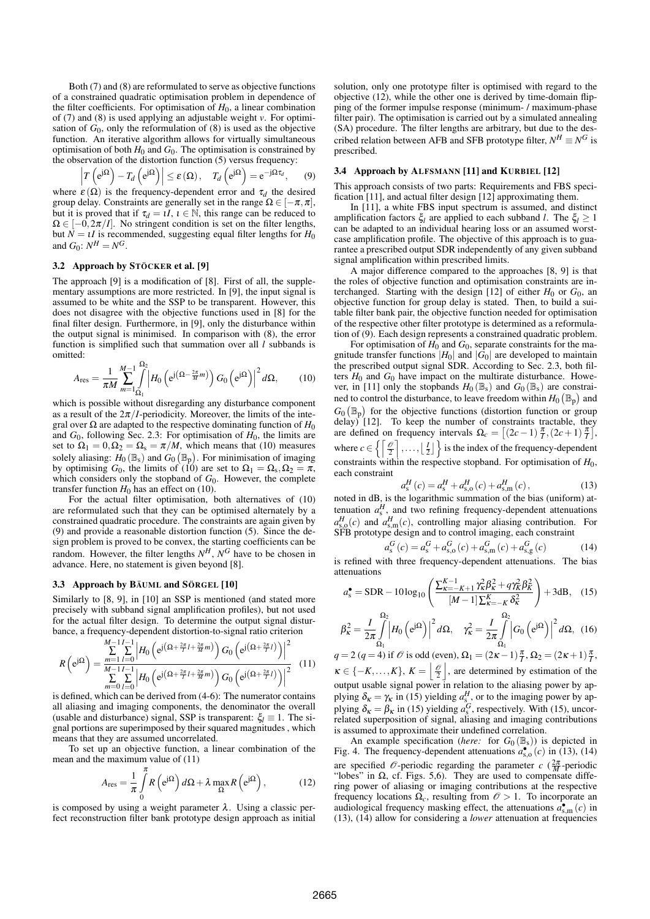Both (7) and (8) are reformulated to serve as objective functions of a constrained quadratic optimisation problem in dependence of the filter coefficients. For optimisation of  $H_0$ , a linear combination of (7) and (8) is used applying an adjustable weight *v*. For optimisation of  $G_0$ , only the reformulation of  $(8)$  is used as the objective function. An iterative algorithm allows for virtually simultaneous optimisation of both  $H_0$  and  $G_0$ . The optimisation is constrained by the observation of the distortion function (5) versus frequency:

$$
\left|T\left(e^{j\Omega}\right)-T_d\left(e^{j\Omega}\right)\right|\leq \varepsilon\left(\Omega\right),\quad T_d\left(e^{j\Omega}\right)=e^{-j\Omega\tau_d},\quad (9)
$$

where  $\varepsilon(\Omega)$  is the frequency-dependent error and  $\tau_d$  the desired group delay. Constraints are generally set in the range  $\Omega \in [-\pi, \pi]$ , but it is proved that if  $\tau_d = \iota I$ ,  $\iota \in \mathbb{N}$ , this range can be reduced to  $\Omega \in [-0, 2\pi/l]$ . No stringent condition is set on the filter lengths, but  $N = 1$ *I* is recommended, suggesting equal filter lengths for  $H_0$ and  $G_0$ :  $N^H = N^G$ .

## 3.2 Approach by STÖCKER et al. [9]

The approach [9] is a modification of [8]. First of all, the supplementary assumptions are more restricted. In [9], the input signal is assumed to be white and the SSP to be transparent. However, this does not disagree with the objective functions used in [8] for the final filter design. Furthermore, in [9], only the disturbance within the output signal is minimised. In comparison with (8), the error function is simplified such that summation over all *l* subbands is omitted:

$$
A_{\text{res}} = \frac{1}{\pi M} \sum_{m=1}^{M-1} \int_{\Omega_1}^{\Omega_2} \left| H_0 \left( e^{j \left( \Omega - \frac{2\pi}{M} m \right)} \right) G_0 \left( e^{j \Omega} \right) \right|^2 d\Omega, \tag{10}
$$

which is possible without disregarding any disturbance component as a result of the  $2\pi/I$ -periodicity. Moreover, the limits of the integral over  $\Omega$  are adapted to the respective dominating function of  $H_0$ and  $G_0$ , following Sec. 2.3: For optimisation of  $H_0$ , the limits are set to  $\Omega_1 = 0$ ,  $\Omega_2 = \Omega_s = \pi/M$ , which means that (10) measures solely aliasing:  $H_0(\mathbb{B}_s)$  and  $G_0(\mathbb{B}_p)$ . For minimisation of imaging by optimising  $G_0$ , the limits of (10) are set to  $\Omega_1 = \Omega_s$ ,  $\Omega_2 = \pi$ , which considers only the stopband of  $G_0$ . However, the complete transfer function  $H_0$  has an effect on (10).

For the actual filter optimisation, both alternatives of (10) are reformulated such that they can be optimised alternately by a constrained quadratic procedure. The constraints are again given by (9) and provide a reasonable distortion function (5). Since the design problem is proved to be convex, the starting coefficients can be random. However, the filter lengths  $N<sup>H</sup>$ ,  $N<sup>G</sup>$  have to be chosen in advance. Here, no statement is given beyond [8].

### 3.3 Approach by BÄUML and SÖRGEL [10]

Similarly to [8, 9], in [10] an SSP is mentioned (and stated more precisely with subband signal amplification profiles), but not used for the actual filter design. To determine the output signal disturbance, a frequency-dependent distortion-to-signal ratio criterion

$$
R\left(e^{j\Omega}\right) = \frac{\sum\limits_{m=1}^{M-1} \sum\limits_{l=0}^{I-1} \left|H_0\left(e^{j\left(\Omega + \frac{2\pi}{I}l + \frac{2\pi}{M}m\right)}\right)G_0\left(e^{j\left(\Omega + \frac{2\pi}{I}l\right)}\right)\right|^2}{\sum\limits_{m=0}^{M-1} \sum\limits_{l=0}^{I-1} \left|H_0\left(e^{j\left(\Omega + \frac{2\pi}{I}l + \frac{2\pi}{M}m\right)}\right)G_0\left(e^{j\left(\Omega + \frac{2\pi}{I}l\right)}\right)\right|^2}
$$
(11)

is defined, which can be derived from (4-6): The numerator contains all aliasing and imaging components, the denominator the overall (usable and disturbance) signal, SSP is transparent:  $\xi_l \equiv 1$ . The signal portions are superimposed by their squared magnitudes , which means that they are assumed uncorrelated.

To set up an objective function, a linear combination of the mean and the maximum value of (11)

$$
A_{\rm res} = \frac{1}{\pi} \int_{0}^{\pi} R\left(e^{j\Omega}\right) d\Omega + \lambda \max_{\Omega} R\left(e^{j\Omega}\right),\tag{12}
$$

is composed by using a weight parameter  $\lambda$ . Using a classic perfect reconstruction filter bank prototype design approach as initial solution, only one prototype filter is optimised with regard to the objective (12), while the other one is derived by time-domain flipping of the former impulse response (minimum- / maximum-phase filter pair). The optimisation is carried out by a simulated annealing (SA) procedure. The filter lengths are arbitrary, but due to the described relation between AFB and SFB prototype filter,  $N^H \equiv N^G$  is prescribed.

#### 3.4 Approach by ALFSMANN [11] and KURBIEL [12]

This approach consists of two parts: Requirements and FBS specification [11], and actual filter design [12] approximating them.

In [11], a white FBS input spectrum is assumed, and distinct amplification factors  $\xi_l$  are applied to each subband *l*. The  $\xi_l \geq 1$ can be adapted to an individual hearing loss or an assumed worstcase amplification profile. The objective of this approach is to guarantee a prescribed output SDR independently of any given subband signal amplification within prescribed limits.

A major difference compared to the approaches [8, 9] is that the roles of objective function and optimisation constraints are interchanged. Starting with the design [12] of either  $H_0$  or  $G_0$ , an objective function for group delay is stated. Then, to build a suitable filter bank pair, the objective function needed for optimisation of the respective other filter prototype is determined as a reformulation of (9). Each design represents a constrained quadratic problem.

For optimisation of  $H_0$  and  $G_0$ , separate constraints for the magnitude transfer functions  $|H_0|$  and  $|\hat{G}_0|$  are developed to maintain the prescribed output signal SDR. According to Sec. 2.3, both filters  $H_0$  and  $G_0$  have impact on the multirate disturbance. However, in [11] only the stopbands  $H_0(\mathbb{B}_s)$  and  $G_0(\mathbb{B}_s)$  are constrained to control the disturbance, to leave freedom within  $H_0(\mathbb{B}_p)$  and  $G_0(\mathbb{B}_p)$  for the objective functions (distortion function or group delay) [12]. To keep the number of constraints tractable, they are defined on frequency intervals  $\Omega_c = \left[ (2c - 1) \frac{\pi}{l}, (2c + 1) \frac{\pi}{l} \right]$ , where  $c \in \left\{ \left[ \frac{\mathcal{O}}{2} \right], \ldots, \left[ \frac{I}{2} \right] \right\}$  is the index of the frequency-dependent constraints within the respective stopband. For optimisation of  $H_0$ , each constraint

$$
a_s^H(c) = a_s^H + a_{s,o}^H(c) + a_{s,m}^H(c),
$$
\n(13)

noted in dB, is the logarithmic summation of the bias (uniform) attenuation  $a_s^H$ , and two refining frequency-dependent attenuations  $a_{\rm s,o}^H(c)$  and  $a_{\rm s,m}^H(c)$ , controlling major aliasing contribution. For SFB prototype design and to control imaging, each constraint

$$
a_8^G(c) = a_8^G + a_{8,0}^G(c) + a_{8,m}^G(c) + a_{8,g}^G(c)
$$
 (14)

is refined with three frequency-dependent attenuations. The bias attenuations *K*−1

$$
a_s^{\bullet} = \text{SDR} - 10\log_{10}\left(\frac{\sum_{\kappa=-K+1}^{K-1} \gamma_{\kappa}^2 \beta_{\kappa}^2 + q \gamma_{\kappa}^2 \beta_{\kappa}^2}{[M-1] \sum_{\kappa=-K}^{K} \delta_{\kappa}^2}\right) + 3\text{dB}, \quad (15)
$$

$$
\beta_{\kappa}^{2} = \frac{I}{2\pi} \int_{\Omega_{1}}^{\Omega_{2}} \left| H_{0} \left( e^{j\Omega} \right) \right|^{2} d\Omega, \quad \gamma_{\kappa}^{2} = \frac{I}{2\pi} \int_{\Omega_{1}}^{\Omega_{2}} \left| G_{0} \left( e^{j\Omega} \right) \right|^{2} d\Omega, \quad (16)
$$

 $q = 2 (q = 4)$  if  $\mathcal O$  is odd (even),  $\Omega_1 = (2\kappa - 1)\frac{\pi}{l}, \Omega_2 = (2\kappa + 1)\frac{\pi}{l}$ ,  $\kappa \in \{-K,\ldots,K\}, K = \left\lfloor \frac{\mathcal{O}}{2} \right\rfloor$ , are determined by estimation of the output usable signal power in relation to the aliasing power by applying  $\delta_{\kappa} = \gamma_{\kappa}$  in (15) yielding  $a_{s}^H$ , or to the imaging power by applying  $\delta_{\kappa} = \beta_{\kappa}$  in (15) yielding  $a_s^G$ , respectively. With (15), uncorrelated superposition of signal, aliasing and imaging contributions is assumed to approximate their undefined correlation.

An example specification (*here:* for  $G_0(\mathbb{B}_s)$ ) is depicted in Fig. 4. The frequency-dependent attenuations  $a_{s,0}^{\bullet\bullet}(c)$  in (13), (14) are specified  $\mathcal{O}$ -periodic regarding the parameter  $c \left(\frac{2\pi}{M}\right)$ -periodic "lobes" in  $\Omega$ , cf. Figs. 5,6). They are used to compensate differing power of aliasing or imaging contributions at the respective frequency locations  $\Omega_c$ , resulting from  $\mathcal{O} > 1$ . To incorporate an audiological frequency masking effect, the attenuations  $a_{s,m}^{\bullet}(c)$  in (13), (14) allow for considering a *lower* attenuation at frequencies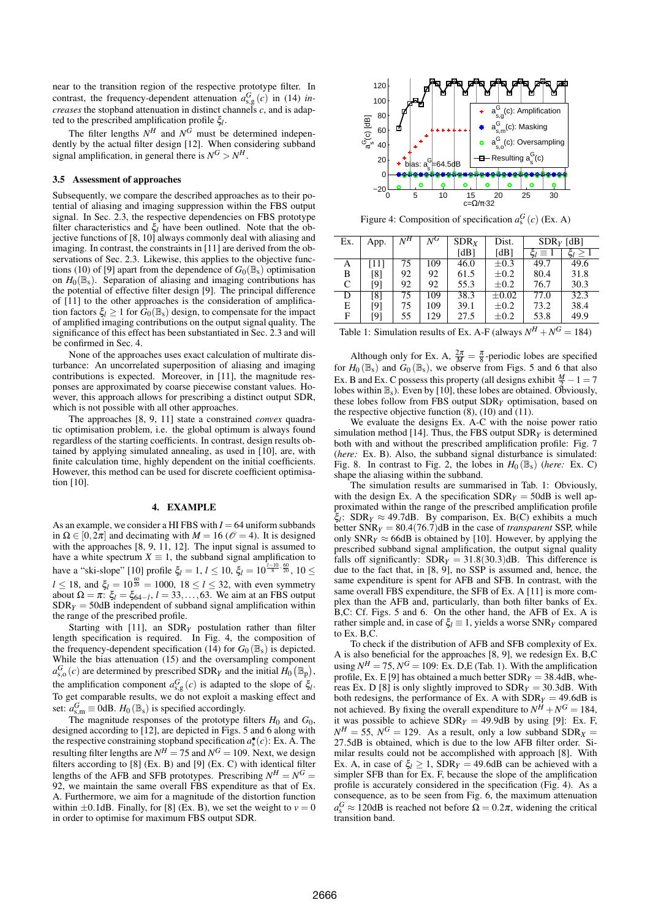near to the transition region of the respective prototype filter. In contrast, the frequency-dependent attenuation  $a_{s,g}^G(c)$  in (14) *increases* the stopband attenuation in distinct channels *c*, and is adapted to the prescribed amplification profile ξ*<sup>l</sup>* .

The filter lengths  $N^H$  and  $N^G$  must be determined independently by the actual filter design [12]. When considering subband signal amplification, in general there is  $N^G > N^H$ .

#### 3.5 Assessment of approaches

Subsequently, we compare the described approaches as to their potential of aliasing and imaging suppression within the FBS output signal. In Sec. 2.3, the respective dependencies on FBS prototype filter characteristics and ξ*<sup>l</sup>* have been outlined. Note that the objective functions of [8, 10] always commonly deal with aliasing and imaging. In contrast, the constraints in [11] are derived from the observations of Sec. 2.3. Likewise, this applies to the objective functions (10) of [9] apart from the dependence of  $G_0(\mathbb{B}_s)$  optimisation on  $H_0(\mathbb{B}_s)$ . Separation of aliasing and imaging contributions has the potential of effective filter design [9]. The principal difference of [11] to the other approaches is the consideration of amplification factors  $\xi_l \geq 1$  for  $G_0(\mathbb{B}_s)$  design, to compensate for the impact of amplified imaging contributions on the output signal quality. The significance of this effect has been substantiated in Sec. 2.3 and will be confirmed in Sec. 4.

None of the approaches uses exact calculation of multirate disturbance: An uncorrelated superposition of aliasing and imaging contributions is expected. Moreover, in [11], the magnitude responses are approximated by coarse piecewise constant values. However, this approach allows for prescribing a distinct output SDR, which is not possible with all other approaches.

The approaches [8, 9, 11] state a constrained *convex* quadratic optimisation problem, i.e. the global optimum is always found regardless of the starting coefficients. In contrast, design results obtained by applying simulated annealing, as used in [10], are, with finite calculation time, highly dependent on the initial coefficients. However, this method can be used for discrete coefficient optimisation [10].

## 4. EXAMPLE

As an example, we consider a HI FBS with  $I = 64$  uniform subbands in  $\Omega \in [0, 2\pi]$  and decimating with  $M = 16$  ( $\mathcal{O} = 4$ ). It is designed with the approaches [8, 9, 11, 12]. The input signal is assumed to have a white spectrum  $X \equiv 1$ , the subband signal amplification to have a "ski-slope" [10] profile ξ<sub>*l*</sub> = 1, *l* ≤ 10, ξ<sub>*l*</sub> =  $10^{\frac{l-10}{8} \cdot \frac{60}{20}}$ , 10 ≤  $l \le 18$ , and  $\xi_l = 10^{\frac{60}{20}} = 1000$ ,  $18 \le l \le 32$ , with even symmetry about  $\Omega = \pi$ :  $\xi_l = \xi_{64-l}$ ,  $l = 33, \ldots, 63$ . We aim at an FBS output  $SDR<sub>Y</sub> = 50dB$  independent of subband signal amplification within the range of the prescribed profile.

Starting with [11], an SDR*Y* postulation rather than filter length specification is required. In Fig. 4, the composition of the frequency-dependent specification (14) for  $G_0(\mathbb{B}_s)$  is depicted. While the bias attenuation (15) and the oversampling component  $a_{s,o}^G(c)$  are determined by prescribed SDR<sub>*Y*</sub> and the initial  $H_0(\mathbb{B}_p)$ , the amplification component  $a_{s,g}^G(c)$  is adapted to the slope of  $\xi_l$ . To get comparable results, we do not exploit a masking effect and set:  $a_{\text{s,m}}^G \equiv 0$ dB.  $H_0(\mathbb{B}_s)$  is specified accordingly.

The magnitude responses of the prototype filters  $H_0$  and  $G_0$ , designed according to [12], are depicted in Figs. 5 and 6 along with the respective constraining stopband specification  $a_s^{\bullet} (c)$ : Ex. A. The resulting filter lengths are  $N^H = 75$  and  $N^G = 109$ . Next, we design filters according to [8] (Ex. B) and [9] (Ex. C) with identical filter lengths of the AFB and SFB prototypes. Prescribing  $N^H = N^G =$ 92, we maintain the same overall FBS expenditure as that of Ex. A. Furthermore, we aim for a magnitude of the distortion function within  $\pm 0.1$ dB. Finally, for [8] (Ex. B), we set the weight to  $v = 0$ in order to optimise for maximum FBS output SDR.



Figure 4: Composition of specification  $a_s^G(c)$  (Ex. A)

| Ex. | App. | $\overline{N}{}^{H}$ | $\overline{N^G}$ | SDR <sub>X</sub> | Dist.      | $SDRY$ [dB]        |      |
|-----|------|----------------------|------------------|------------------|------------|--------------------|------|
|     |      |                      |                  | [dB]             | [dB]       | $\zeta_l \equiv 1$ | ζı   |
| A   | [11] | 75                   | 109              | 46.0             | $\pm 0.3$  | 49.7               | 49.6 |
| B   | [8]  | 92                   | 92               | 61.5             | $\pm 0.2$  | 80.4               | 31.8 |
| C   | [9]  | 92                   | 92               | 55.3             | $\pm 0.2$  | 76.7               | 30.3 |
| D   | [8]  | 75                   | 109              | 38.3             | $\pm 0.02$ | 77.0               | 32.3 |
| E   | [9]  | 75                   | 109              | 39.1             | $\pm 0.2$  | 73.2               | 38.4 |
| F   | [9]  | 55                   | 129              | 27.5             | $\pm 0.2$  | 53.8               | 49.9 |

Table 1: Simulation results of Ex. A-F (always  $N^H + N^G = 184$ )

Although only for Ex. A,  $\frac{2\pi}{M} = \frac{\pi}{8}$ -periodic lobes are specified for  $H_0(\mathbb{B}_s)$  and  $G_0(\mathbb{B}_s)$ , we observe from Figs. 5 and 6 that also Ex. B and Ex. C possess this property (all designs exhibit  $\frac{M}{2} - 1 = 7$ lobes within  $\mathbb{B}_s$ . Even by [10], these lobes are obtained. Obviously, these lobes follow from FBS output SDR*Y* optimisation, based on the respective objective function  $(8)$ ,  $(10)$  and  $(11)$ .

We evaluate the designs Ex. A-C with the noise power ratio simulation method [14]. Thus, the FBS output  $SDR<sub>Y</sub>$  is determined both with and without the prescribed amplification profile: Fig. 7 (*here:* Ex. B). Also, the subband signal disturbance is simulated: Fig. 8. In contrast to Fig. 2, the lobes in  $H_0(\mathbb{B}_s)$  (*here:* Ex. C) shape the aliasing within the subband.

The simulation results are summarised in Tab. 1: Obviously, with the design Ex. A the specification  $SDR<sub>Y</sub> = 50dB$  is well approximated within the range of the prescribed amplification profile  $\xi_l$ : SDR<sub>*Y*</sub>  $\approx$  49.7dB. By comparison, Ex. B(C) exhibits a much better  $SNR<sub>Y</sub> = 80.4(76.7)dB$  in the case of *transparent* SSP, while only  $SNR<sub>Y</sub> \approx 66dB$  is obtained by [10]. However, by applying the prescribed subband signal amplification, the output signal quality falls off significantly:  $SDR<sub>Y</sub> = 31.8(30.3)dB$ . This difference is due to the fact that, in [8, 9], no SSP is assumed and, hence, the same expenditure is spent for AFB and SFB. In contrast, with the same overall FBS expenditure, the SFB of Ex. A [11] is more complex than the AFB and, particularly, than both filter banks of Ex. B,C: Cf. Figs. 5 and 6. On the other hand, the AFB of Ex. A is rather simple and, in case of  $\xi_l \equiv 1$ , yields a worse SNR<sub>*Y*</sub> compared to Ex. B,C.

To check if the distribution of AFB and SFB complexity of Ex. A is also beneficial for the approaches [8, 9], we redesign Ex. B,C using  $N^H = 75$ ,  $N^G = 109$ : Ex. D, E (Tab. 1). With the amplification profile, Ex. E [9] has obtained a much better  $SDR<sub>Y</sub> = 38.4dB$ , whereas Ex. D [8] is only slightly improved to SDR*<sup>Y</sup>* = 30.3dB. With both redesigns, the performance of Ex. A with  $SDR<sub>Y</sub> = 49.6dB$  is not achieved. By fixing the overall expenditure to  $N^H + N^G = 184$ , it was possible to achieve  $SDR<sub>Y</sub> = 49.9dB$  by using [9]: Ex. F,  $N<sup>H</sup> = 55$ ,  $N<sup>G</sup> = 129$ . As a result, only a low subband SDR<sub>*X*</sub> = 27.5dB is obtained, which is due to the low AFB filter order. Similar results could not be accomplished with approach [8]. With Ex. A, in case of  $\xi_l \ge 1$ , SDR<sub>Y</sub> = 49.6dB can be achieved with a simpler SFB than for Ex. F, because the slope of the amplification profile is accurately considered in the specification (Fig. 4). As a consequence, as to be seen from Fig. 6, the maximum attenuation  $a_s^G \approx 120$ dB is reached not before  $\Omega = 0.2\pi$ , widening the critical transition band.